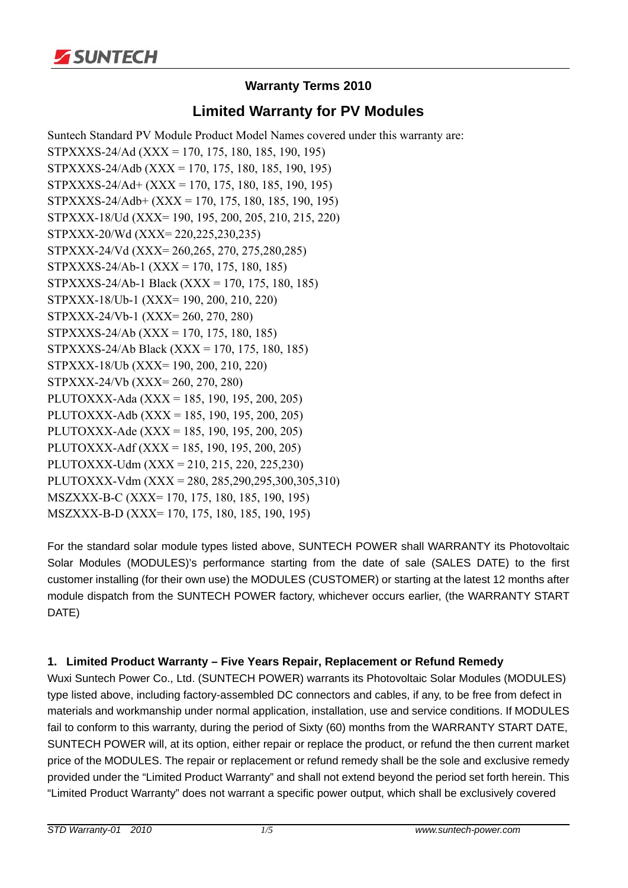

# **Warranty Terms 2010**

# **Limited Warranty for PV Modules**

Suntech Standard PV Module Product Model Names covered under this warranty are: STPXXXS-24/Ad (XXX = 170, 175, 180, 185, 190, 195) STPXXXS-24/Adb (XXX = 170, 175, 180, 185, 190, 195) STPXXXS-24/Ad+ (XXX = 170, 175, 180, 185, 190, 195) STPXXXS-24/Adb+ (XXX = 170, 175, 180, 185, 190, 195) STPXXX-18/Ud (XXX= 190, 195, 200, 205, 210, 215, 220) STPXXX-20/Wd (XXX= 220,225,230,235) STPXXX-24/Vd (XXX= 260,265, 270, 275,280,285) STPXXXS-24/Ab-1 (XXX = 170, 175, 180, 185) STPXXXS-24/Ab-1 Black (XXX = 170, 175, 180, 185) STPXXX-18/Ub-1 (XXX= 190, 200, 210, 220) STPXXX-24/Vb-1 (XXX= 260, 270, 280) STPXXXS-24/Ab (XXX = 170, 175, 180, 185) STPXXXS-24/Ab Black (XXX = 170, 175, 180, 185) STPXXX-18/Ub (XXX= 190, 200, 210, 220) STPXXX-24/Vb (XXX= 260, 270, 280) PLUTOXXX-Ada (XXX = 185, 190, 195, 200, 205) PLUTOXXX-Adb (XXX = 185, 190, 195, 200, 205) PLUTOXXX-Ade (XXX = 185, 190, 195, 200, 205) PLUTOXXX-Adf (XXX = 185, 190, 195, 200, 205) PLUTOXXX-Udm (XXX = 210, 215, 220, 225,230) PLUTOXXX-Vdm (XXX = 280, 285,290,295,300,305,310) MSZXXX-B-C (XXX= 170, 175, 180, 185, 190, 195) MSZXXX-B-D (XXX= 170, 175, 180, 185, 190, 195)

For the standard solar module types listed above, SUNTECH POWER shall WARRANTY its Photovoltaic Solar Modules (MODULES)'s performance starting from the date of sale (SALES DATE) to the first customer installing (for their own use) the MODULES (CUSTOMER) or starting at the latest 12 months after module dispatch from the SUNTECH POWER factory, whichever occurs earlier, (the WARRANTY START DATE)

## **1. Limited Product Warranty – Five Years Repair, Replacement or Refund Remedy**

Wuxi Suntech Power Co., Ltd. (SUNTECH POWER) warrants its Photovoltaic Solar Modules (MODULES) type listed above, including factory-assembled DC connectors and cables, if any, to be free from defect in materials and workmanship under normal application, installation, use and service conditions. If MODULES fail to conform to this warranty, during the period of Sixty (60) months from the WARRANTY START DATE, SUNTECH POWER will, at its option, either repair or replace the product, or refund the then current market price of the MODULES. The repair or replacement or refund remedy shall be the sole and exclusive remedy provided under the "Limited Product Warranty" and shall not extend beyond the period set forth herein. This "Limited Product Warranty" does not warrant a specific power output, which shall be exclusively covered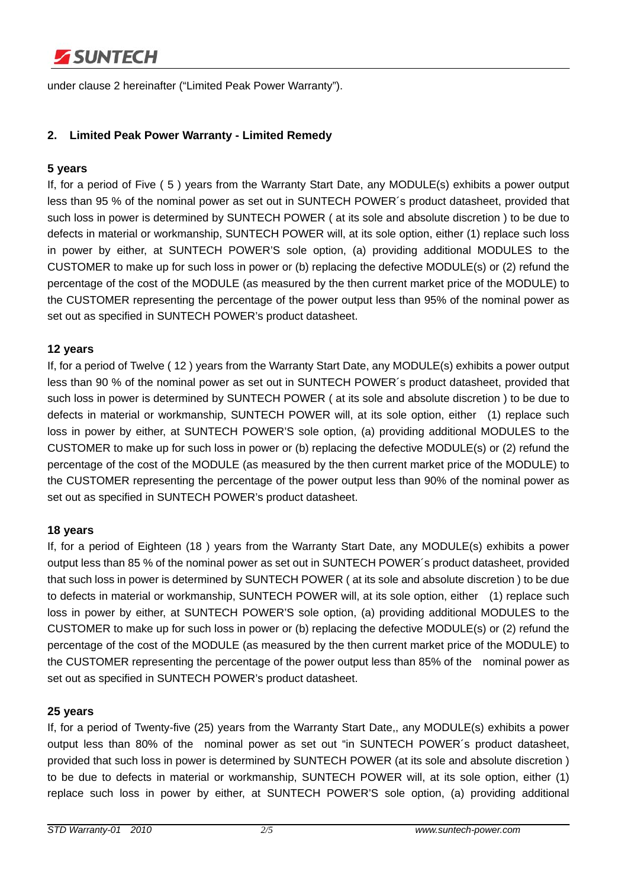

under clause 2 hereinafter ("Limited Peak Power Warranty").

## **2. Limited Peak Power Warranty - Limited Remedy**

### **5 years**

If, for a period of Five ( 5 ) years from the Warranty Start Date, any MODULE(s) exhibits a power output less than 95 % of the nominal power as set out in SUNTECH POWER´s product datasheet, provided that such loss in power is determined by SUNTECH POWER ( at its sole and absolute discretion ) to be due to defects in material or workmanship, SUNTECH POWER will, at its sole option, either (1) replace such loss in power by either, at SUNTECH POWER'S sole option, (a) providing additional MODULES to the CUSTOMER to make up for such loss in power or (b) replacing the defective MODULE(s) or (2) refund the percentage of the cost of the MODULE (as measured by the then current market price of the MODULE) to the CUSTOMER representing the percentage of the power output less than 95% of the nominal power as set out as specified in SUNTECH POWER's product datasheet.

### **12 years**

If, for a period of Twelve ( 12 ) years from the Warranty Start Date, any MODULE(s) exhibits a power output less than 90 % of the nominal power as set out in SUNTECH POWER´s product datasheet, provided that such loss in power is determined by SUNTECH POWER ( at its sole and absolute discretion ) to be due to defects in material or workmanship, SUNTECH POWER will, at its sole option, either (1) replace such loss in power by either, at SUNTECH POWER'S sole option, (a) providing additional MODULES to the CUSTOMER to make up for such loss in power or (b) replacing the defective MODULE(s) or (2) refund the percentage of the cost of the MODULE (as measured by the then current market price of the MODULE) to the CUSTOMER representing the percentage of the power output less than 90% of the nominal power as set out as specified in SUNTECH POWER's product datasheet.

#### **18 years**

If, for a period of Eighteen (18 ) years from the Warranty Start Date, any MODULE(s) exhibits a power output less than 85 % of the nominal power as set out in SUNTECH POWER´s product datasheet, provided that such loss in power is determined by SUNTECH POWER ( at its sole and absolute discretion ) to be due to defects in material or workmanship, SUNTECH POWER will, at its sole option, either (1) replace such loss in power by either, at SUNTECH POWER'S sole option, (a) providing additional MODULES to the CUSTOMER to make up for such loss in power or (b) replacing the defective MODULE(s) or (2) refund the percentage of the cost of the MODULE (as measured by the then current market price of the MODULE) to the CUSTOMER representing the percentage of the power output less than 85% of the nominal power as set out as specified in SUNTECH POWER's product datasheet.

#### **25 years**

If, for a period of Twenty-five (25) years from the Warranty Start Date,, any MODULE(s) exhibits a power output less than 80% of the nominal power as set out "in SUNTECH POWER´s product datasheet, provided that such loss in power is determined by SUNTECH POWER (at its sole and absolute discretion ) to be due to defects in material or workmanship, SUNTECH POWER will, at its sole option, either (1) replace such loss in power by either, at SUNTECH POWER'S sole option, (a) providing additional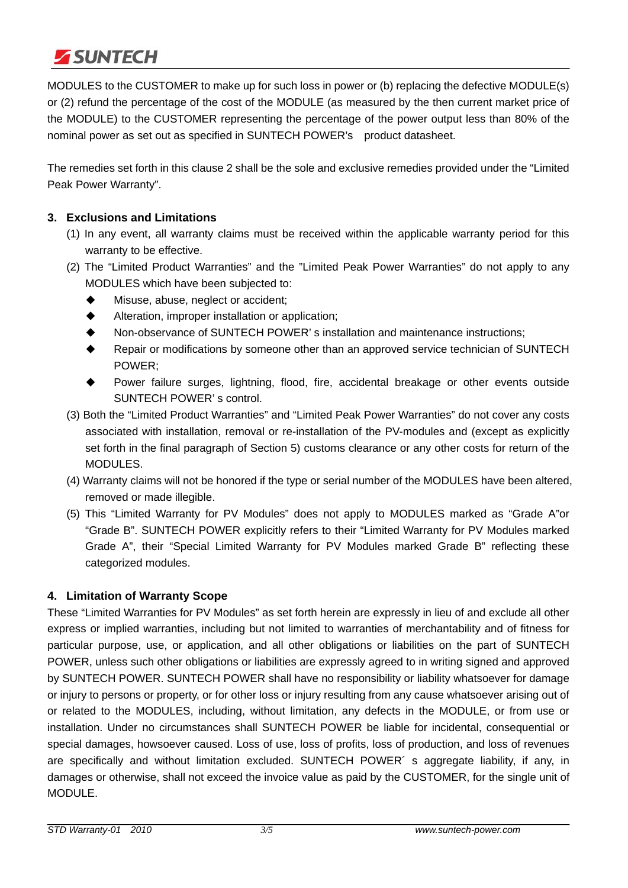

MODULES to the CUSTOMER to make up for such loss in power or (b) replacing the defective MODULE(s) or (2) refund the percentage of the cost of the MODULE (as measured by the then current market price of the MODULE) to the CUSTOMER representing the percentage of the power output less than 80% of the nominal power as set out as specified in SUNTECH POWER's product datasheet.

The remedies set forth in this clause 2 shall be the sole and exclusive remedies provided under the "Limited Peak Power Warranty".

## **3. Exclusions and Limitations**

- (1) In any event, all warranty claims must be received within the applicable warranty period for this warranty to be effective.
- (2) The "Limited Product Warranties" and the "Limited Peak Power Warranties" do not apply to any MODULES which have been subjected to:
	- $\blacklozenge$  Misuse, abuse, neglect or accident;
	- Alteration, improper installation or application;
	- Non-observance of SUNTECH POWER' s installation and maintenance instructions;
	- Repair or modifications by someone other than an approved service technician of SUNTECH POWER;
	- Power failure surges, lightning, flood, fire, accidental breakage or other events outside SUNTECH POWER' s control.
- (3) Both the "Limited Product Warranties" and "Limited Peak Power Warranties" do not cover any costs associated with installation, removal or re-installation of the PV-modules and (except as explicitly set forth in the final paragraph of Section 5) customs clearance or any other costs for return of the MODULES.
- (4) Warranty claims will not be honored if the type or serial number of the MODULES have been altered, removed or made illegible.
- (5) This "Limited Warranty for PV Modules" does not apply to MODULES marked as "Grade A"or "Grade B". SUNTECH POWER explicitly refers to their "Limited Warranty for PV Modules marked Grade A", their "Special Limited Warranty for PV Modules marked Grade B" reflecting these categorized modules.

### **4. Limitation of Warranty Scope**

These "Limited Warranties for PV Modules" as set forth herein are expressly in lieu of and exclude all other express or implied warranties, including but not limited to warranties of merchantability and of fitness for particular purpose, use, or application, and all other obligations or liabilities on the part of SUNTECH POWER, unless such other obligations or liabilities are expressly agreed to in writing signed and approved by SUNTECH POWER. SUNTECH POWER shall have no responsibility or liability whatsoever for damage or injury to persons or property, or for other loss or injury resulting from any cause whatsoever arising out of or related to the MODULES, including, without limitation, any defects in the MODULE, or from use or installation. Under no circumstances shall SUNTECH POWER be liable for incidental, consequential or special damages, howsoever caused. Loss of use, loss of profits, loss of production, and loss of revenues are specifically and without limitation excluded. SUNTECH POWER´ s aggregate liability, if any, in damages or otherwise, shall not exceed the invoice value as paid by the CUSTOMER, for the single unit of MODULE.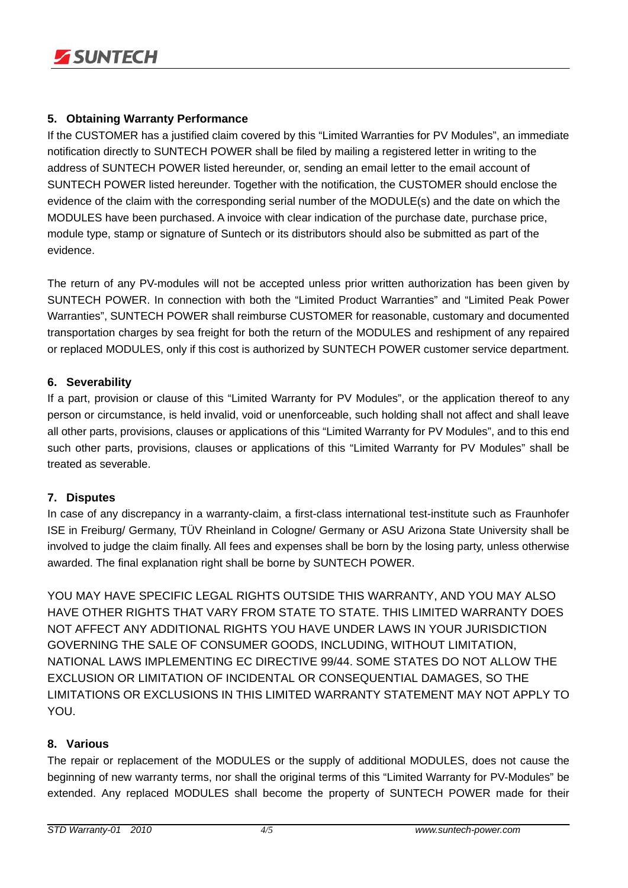

## **5. Obtaining Warranty Performance**

If the CUSTOMER has a justified claim covered by this "Limited Warranties for PV Modules", an immediate notification directly to SUNTECH POWER shall be filed by mailing a registered letter in writing to the address of SUNTECH POWER listed hereunder, or, sending an email letter to the email account of SUNTECH POWER listed hereunder. Together with the notification, the CUSTOMER should enclose the evidence of the claim with the corresponding serial number of the MODULE(s) and the date on which the MODULES have been purchased. A invoice with clear indication of the purchase date, purchase price, module type, stamp or signature of Suntech or its distributors should also be submitted as part of the evidence.

The return of any PV-modules will not be accepted unless prior written authorization has been given by SUNTECH POWER. In connection with both the "Limited Product Warranties" and "Limited Peak Power Warranties", SUNTECH POWER shall reimburse CUSTOMER for reasonable, customary and documented transportation charges by sea freight for both the return of the MODULES and reshipment of any repaired or replaced MODULES, only if this cost is authorized by SUNTECH POWER customer service department.

## **6. Severability**

If a part, provision or clause of this "Limited Warranty for PV Modules", or the application thereof to any person or circumstance, is held invalid, void or unenforceable, such holding shall not affect and shall leave all other parts, provisions, clauses or applications of this "Limited Warranty for PV Modules", and to this end such other parts, provisions, clauses or applications of this "Limited Warranty for PV Modules" shall be treated as severable.

### **7. Disputes**

In case of any discrepancy in a warranty-claim, a first-class international test-institute such as Fraunhofer ISE in Freiburg/ Germany, TÜV Rheinland in Cologne/ Germany or ASU Arizona State University shall be involved to judge the claim finally. All fees and expenses shall be born by the losing party, unless otherwise awarded. The final explanation right shall be borne by SUNTECH POWER.

YOU MAY HAVE SPECIFIC LEGAL RIGHTS OUTSIDE THIS WARRANTY, AND YOU MAY ALSO HAVE OTHER RIGHTS THAT VARY FROM STATE TO STATE. THIS LIMITED WARRANTY DOES NOT AFFECT ANY ADDITIONAL RIGHTS YOU HAVE UNDER LAWS IN YOUR JURISDICTION GOVERNING THE SALE OF CONSUMER GOODS, INCLUDING, WITHOUT LIMITATION, NATIONAL LAWS IMPLEMENTING EC DIRECTIVE 99/44. SOME STATES DO NOT ALLOW THE EXCLUSION OR LIMITATION OF INCIDENTAL OR CONSEQUENTIAL DAMAGES, SO THE LIMITATIONS OR EXCLUSIONS IN THIS LIMITED WARRANTY STATEMENT MAY NOT APPLY TO YOU.

### **8. Various**

The repair or replacement of the MODULES or the supply of additional MODULES, does not cause the beginning of new warranty terms, nor shall the original terms of this "Limited Warranty for PV-Modules" be extended. Any replaced MODULES shall become the property of SUNTECH POWER made for their